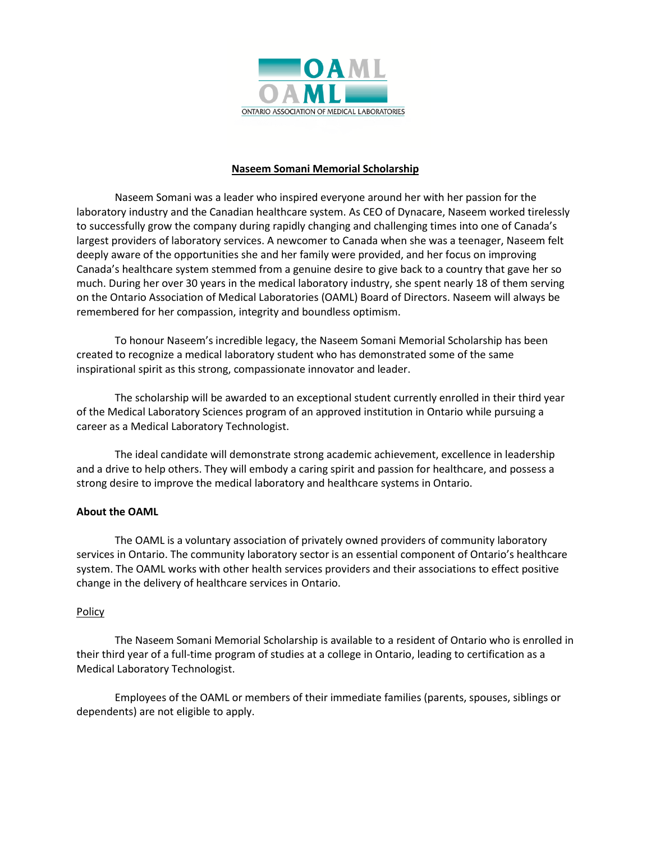

# **Naseem Somani Memorial Scholarship**

Naseem Somani was a leader who inspired everyone around her with her passion for the laboratory industry and the Canadian healthcare system. As CEO of Dynacare, Naseem worked tirelessly to successfully grow the company during rapidly changing and challenging times into one of Canada's largest providers of laboratory services. A newcomer to Canada when she was a teenager, Naseem felt deeply aware of the opportunities she and her family were provided, and her focus on improving Canada's healthcare system stemmed from a genuine desire to give back to a country that gave her so much. During her over 30 years in the medical laboratory industry, she spent nearly 18 of them serving on the Ontario Association of Medical Laboratories (OAML) Board of Directors. Naseem will always be remembered for her compassion, integrity and boundless optimism.

To honour Naseem's incredible legacy, the Naseem Somani Memorial Scholarship has been created to recognize a medical laboratory student who has demonstrated some of the same inspirational spirit as this strong, compassionate innovator and leader.

The scholarship will be awarded to an exceptional student currently enrolled in their third year of the Medical Laboratory Sciences program of an approved institution in Ontario while pursuing a career as a Medical Laboratory Technologist.

The ideal candidate will demonstrate strong academic achievement, excellence in leadership and a drive to help others. They will embody a caring spirit and passion for healthcare, and possess a strong desire to improve the medical laboratory and healthcare systems in Ontario.

## **About the OAML**

The OAML is a voluntary association of privately owned providers of community laboratory services in Ontario. The community laboratory sector is an essential component of Ontario's healthcare system. The OAML works with other health services providers and their associations to effect positive change in the delivery of healthcare services in Ontario.

## **Policy**

The Naseem Somani Memorial Scholarship is available to a resident of Ontario who is enrolled in their third year of a full-time program of studies at a college in Ontario, leading to certification as a Medical Laboratory Technologist.

Employees of the OAML or members of their immediate families (parents, spouses, siblings or dependents) are not eligible to apply.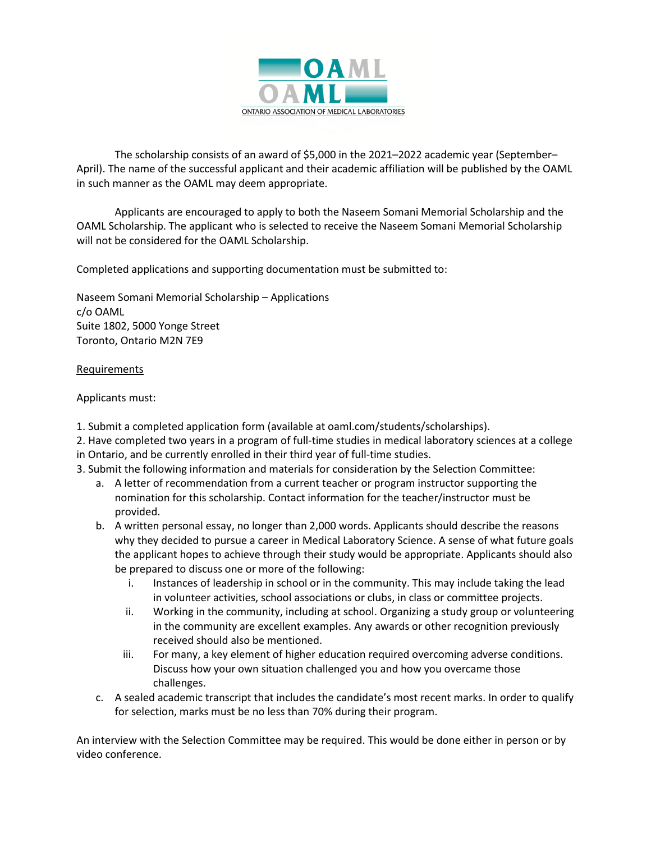

The scholarship consists of an award of \$5,000 in the 2021–2022 academic year (September– April). The name of the successful applicant and their academic affiliation will be published by the OAML in such manner as the OAML may deem appropriate.

Applicants are encouraged to apply to both the Naseem Somani Memorial Scholarship and the OAML Scholarship. The applicant who is selected to receive the Naseem Somani Memorial Scholarship will not be considered for the OAML Scholarship.

Completed applications and supporting documentation must be submitted to:

Naseem Somani Memorial Scholarship – Applications c/o OAML Suite 1802, 5000 Yonge Street Toronto, Ontario M2N 7E9

#### Requirements

#### Applicants must:

- 1. Submit a completed application form (available at oaml.com/students/scholarships).
- 2. Have completed two years in a program of full-time studies in medical laboratory sciences at a college in Ontario, and be currently enrolled in their third year of full-time studies.
- 3. Submit the following information and materials for consideration by the Selection Committee:
	- a. A letter of recommendation from a current teacher or program instructor supporting the nomination for this scholarship. Contact information for the teacher/instructor must be provided.
	- b. A written personal essay, no longer than 2,000 words. Applicants should describe the reasons why they decided to pursue a career in Medical Laboratory Science. A sense of what future goals the applicant hopes to achieve through their study would be appropriate. Applicants should also be prepared to discuss one or more of the following:
		- i. Instances of leadership in school or in the community. This may include taking the lead in volunteer activities, school associations or clubs, in class or committee projects.
		- ii. Working in the community, including at school. Organizing a study group or volunteering in the community are excellent examples. Any awards or other recognition previously received should also be mentioned.
		- iii. For many, a key element of higher education required overcoming adverse conditions. Discuss how your own situation challenged you and how you overcame those challenges.
	- c. A sealed academic transcript that includes the candidate's most recent marks. In order to qualify for selection, marks must be no less than 70% during their program.

An interview with the Selection Committee may be required. This would be done either in person or by video conference.